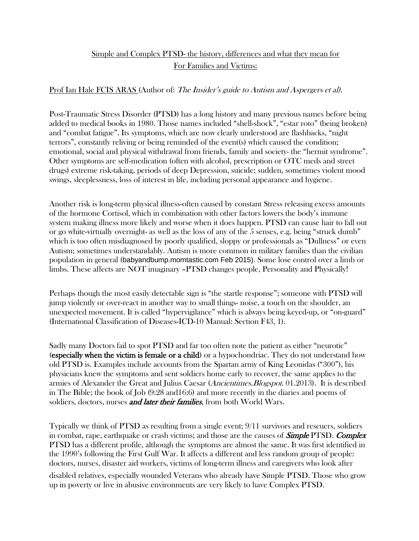## Simple and Complex PTSD- the history, differences and what they mean for For Families and Victims:

## Prof Ian Hale FCIS ARAS (Author of: The Insider's guide to Autism and Aspergers et al).

Post-Traumatic Stress Disorder (PTSD) has a long history and many previous names before being added to medical books in 1980. Those names included "shell-shock", "estar roto" (being broken) and "combat fatigue". Its symptoms, which are now clearly understood are flashbacks, "night terrors", constantly reliving or being reminded of the event(s) which caused the condition; emotional, social and physical withdrawal from friends, family and society- the "hermit syndrome". Other symptoms are self-medication (often with alcohol, prescription or OTC meds and street drugs) extreme risk-taking, periods of deep Depression, suicide; sudden, sometimes violent mood swings, sleeplessness, loss of interest in life, including personal appearance and hygiene.

Another risk is long-term physical illness-often caused by constant Stress releasing excess amounts of the hormone Cortisol, which in combination with other factors lowers the body's immune system making illness more likely and worse when it does happen. PTSD can cause hair to fall out or go white-virtually overnight- as well as the loss of any of the 5 senses, e.g. being "struck dumb" which is too often misdiagnosed by poorly qualified, sloppy or professionals as "Dullness" or even Autism; sometimes understandably. Autism is more common in military families than the civilian population in general (babyandbump.momtastic.com Feb 2015). Some lose control over a limb or limbs. These affects are NOT imaginary –PTSD changes people, Personality and Physically!

Perhaps though the most easily detectable sign is "the startle response"; someone with PTSD will jump violently or over-react in another way to small things- noise, a touch on the shoulder, an unexpected movement. It is called "hypervigilance" which is always being keyed-up, or "on-guard" (International Classification of Diseases-ICD-10 Manual: Section F43, 1).

Sadly many Doctors fail to spot PTSD and far too often note the patient as either "neurotic" (especially when the victim is female or a child) or a hypochondriac. They do not understand how old PTSD is. Examples include accounts from the Spartan army of King Leonidas ("300"), his physicians knew the symptoms and sent soldiers home early to recover, the same applies to the armies of Alexander the Great and Julius Caesar (Ancientimes.Blogspot. 01.2013). It is described in The Bible; the book of Job (9:28 and16:6) and more recently in the diaries and poems of soldiers, doctors, nurses *and later their families*, from both World Wars.

Typically we think of PTSD as resulting from a single event; 9/11 survivors and rescuers, soldiers in combat, rape, earthquake or crash victims; and those are the causes of **Simple PTSD. Complex** PTSD has a different profile, although the symptoms are almost the same. It was first identified in the 1990's following the First Gulf War. It affects a different and less random group of people: doctors, nurses, disaster aid workers, victims of long-term illness and caregivers who look after disabled relatives, especially wounded Veterans who already have Simple PTSD. Those who grow

up in poverty or live in abusive environments are very likely to have Complex PTSD.